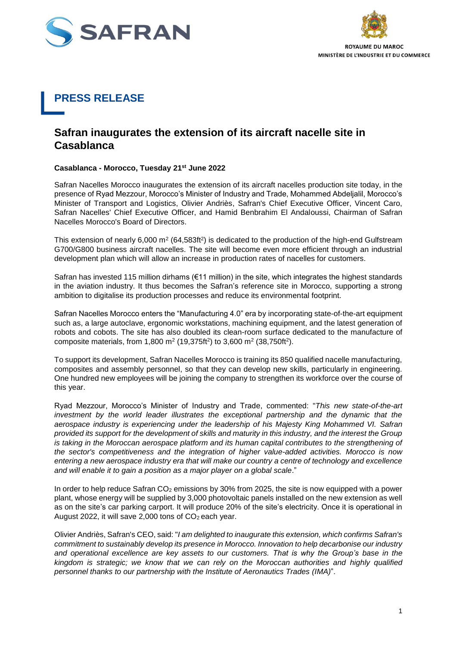



## **PRESS RELEASE**

## **Safran inaugurates the extension of its aircraft nacelle site in Casablanca**

## **Casablanca - Morocco, Tuesday 21st June 2022**

Safran Nacelles Morocco inaugurates the extension of its aircraft nacelles production site today, in the presence of Ryad Mezzour, Morocco's Minister of Industry and Trade, Mohammed Abdeljalil, Morocco's Minister of Transport and Logistics, Olivier Andriès, Safran's Chief Executive Officer, Vincent Caro, Safran Nacelles' Chief Executive Officer, and Hamid Benbrahim El Andaloussi, Chairman of Safran Nacelles Morocco's Board of Directors.

This extension of nearly 6,000 m<sup>2</sup> (64,583ft<sup>2</sup>) is dedicated to the production of the high-end Gulfstream G700/G800 business aircraft nacelles. The site will become even more efficient through an industrial development plan which will allow an increase in production rates of nacelles for customers.

Safran has invested 115 million dirhams ( $\epsilon$ 11 million) in the site, which integrates the highest standards in the aviation industry. It thus becomes the Safran's reference site in Morocco, supporting a strong ambition to digitalise its production processes and reduce its environmental footprint.

Safran Nacelles Morocco enters the "Manufacturing 4.0" era by incorporating state-of-the-art equipment such as, a large autoclave, ergonomic workstations, machining equipment, and the latest generation of robots and cobots. The site has also doubled its clean-room surface dedicated to the manufacture of composite materials, from 1,800 m<sup>2</sup> (19,375ft<sup>2</sup>) to 3,600 m<sup>2</sup> (38,750ft<sup>2</sup>).

To support its development, Safran Nacelles Morocco is training its 850 qualified nacelle manufacturing, composites and assembly personnel, so that they can develop new skills, particularly in engineering. One hundred new employees will be joining the company to strengthen its workforce over the course of this year.

Ryad Mezzour, Morocco's Minister of Industry and Trade, commented: "*This new state-of-the-art investment by the world leader illustrates the exceptional partnership and the dynamic that the aerospace industry is experiencing under the leadership of his Majesty King Mohammed VI. Safran provided its support for the development of skills and maturity in this industry, and the interest the Group is taking in the Moroccan aerospace platform and its human capital contributes to the strengthening of the sector's competitiveness and the integration of higher value-added activities. Morocco is now entering a new aerospace industry era that will make our country a centre of technology and excellence and will enable it to gain a position as a major player on a global scale*."

In order to help reduce Safran  $CO<sub>2</sub>$  emissions by 30% from 2025, the site is now equipped with a power plant, whose energy will be supplied by 3,000 photovoltaic panels installed on the new extension as well as on the site's car parking carport. It will produce 20% of the site's electricity. Once it is operational in August 2022, it will save 2,000 tons of  $CO<sub>2</sub>$  each year.

Olivier Andriès, Safran's CEO, said: "*I am delighted to inaugurate this extension, which confirms Safran's commitment to sustainably develop its presence in Morocco. Innovation to help decarbonise our industry and operational excellence are key assets to our customers. That is why the Group's base in the kingdom is strategic; we know that we can rely on the Moroccan authorities and highly qualified personnel thanks to our partnership with the Institute of Aeronautics Trades (IMA)*".